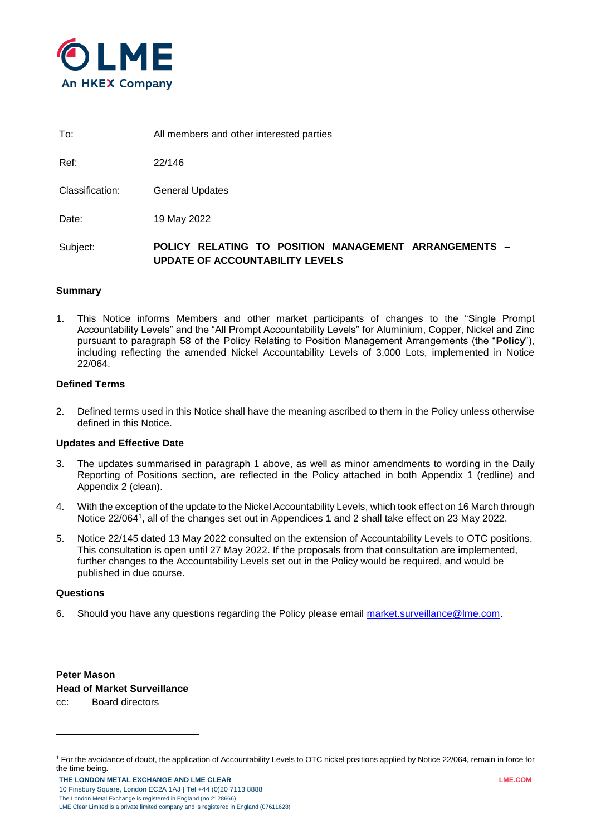

To: All members and other interested parties

Ref: 22/146

Classification: General Updates

Date: 19 May 2022

Subject: **POLICY RELATING TO POSITION MANAGEMENT ARRANGEMENTS -UPDATE OF ACCOUNTABILITY LEVELS**

### **Summary**

1. This Notice informs Members and other market participants of changes to the "Single Prompt Accountability Levels" and the "All Prompt Accountability Levels" for Aluminium, Copper, Nickel and Zinc pursuant to paragraph 58 of the Policy Relating to Position Management Arrangements (the "**Policy**"), including reflecting the amended Nickel Accountability Levels of 3,000 Lots, implemented in Notice 22/064.

### **Defined Terms**

2. Defined terms used in this Notice shall have the meaning ascribed to them in the Policy unless otherwise defined in this Notice.

### **Updates and Effective Date**

- 3. The updates summarised in paragraph 1 above, as well as minor amendments to wording in the Daily Reporting of Positions section, are reflected in the Policy attached in both Appendix 1 (redline) and Appendix 2 (clean).
- 4. With the exception of the update to the Nickel Accountability Levels, which took effect on 16 March through Notice 22/064<sup>1</sup> , all of the changes set out in Appendices 1 and 2 shall take effect on 23 May 2022.
- 5. Notice 22/145 dated 13 May 2022 consulted on the extension of Accountability Levels to OTC positions. This consultation is open until 27 May 2022. If the proposals from that consultation are implemented, further changes to the Accountability Levels set out in the Policy would be required, and would be published in due course.

### **Questions**

1

6. Should you have any questions regarding the Policy please email [market.surveillance@lme.com.](mailto:market.surveillance@lme.com)

**Peter Mason Head of Market Surveillance** cc: Board directors

<sup>1</sup> For the avoidance of doubt, the application of Accountability Levels to OTC nickel positions applied by Notice 22/064, remain in force for the time being.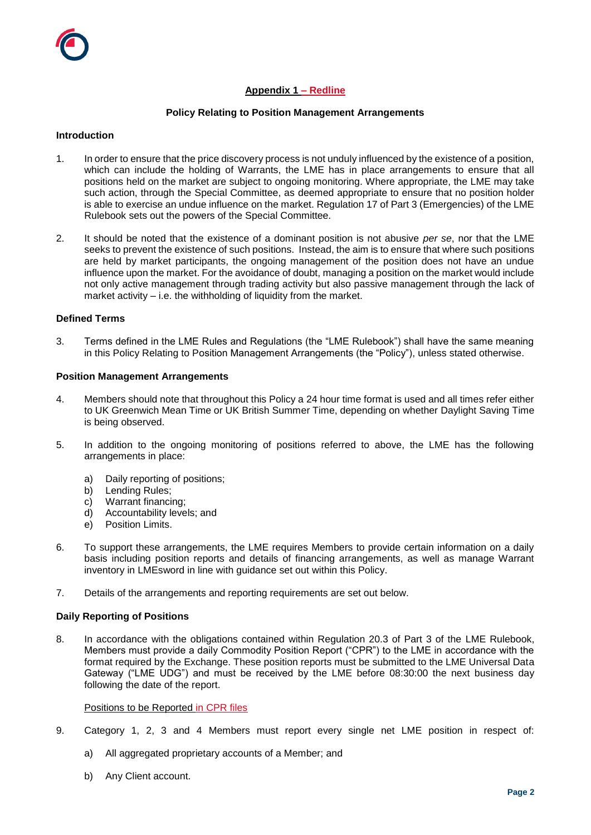# **Appendix 1 – Redline**

### **Policy Relating to Position Management Arrangements**

### **Introduction**

- 1. In order to ensure that the price discovery process is not unduly influenced by the existence of a position, which can include the holding of Warrants, the LME has in place arrangements to ensure that all positions held on the market are subject to ongoing monitoring. Where appropriate, the LME may take such action, through the Special Committee, as deemed appropriate to ensure that no position holder is able to exercise an undue influence on the market. Regulation 17 of Part 3 (Emergencies) of the LME Rulebook sets out the powers of the Special Committee.
- 2. It should be noted that the existence of a dominant position is not abusive *per se*, nor that the LME seeks to prevent the existence of such positions. Instead, the aim is to ensure that where such positions are held by market participants, the ongoing management of the position does not have an undue influence upon the market. For the avoidance of doubt, managing a position on the market would include not only active management through trading activity but also passive management through the lack of market activity – i.e. the withholding of liquidity from the market.

#### **Defined Terms**

3. Terms defined in the LME Rules and Regulations (the "LME Rulebook") shall have the same meaning in this Policy Relating to Position Management Arrangements (the "Policy"), unless stated otherwise.

#### **Position Management Arrangements**

- 4. Members should note that throughout this Policy a 24 hour time format is used and all times refer either to UK Greenwich Mean Time or UK British Summer Time, depending on whether Daylight Saving Time is being observed.
- 5. In addition to the ongoing monitoring of positions referred to above, the LME has the following arrangements in place:
	- a) Daily reporting of positions;
	- b) Lending Rules;
	- c) Warrant financing;
	- d) Accountability levels; and
	- e) Position Limits.
- 6. To support these arrangements, the LME requires Members to provide certain information on a daily basis including position reports and details of financing arrangements, as well as manage Warrant inventory in LMEsword in line with guidance set out within this Policy.
- 7. Details of the arrangements and reporting requirements are set out below.

### **Daily Reporting of Positions**

8. In accordance with the obligations contained within Regulation 20.3 of Part 3 of the LME Rulebook, Members must provide a daily Commodity Position Report ("CPR") to the LME in accordance with the format required by the Exchange. These position reports must be submitted to the LME Universal Data Gateway ("LME UDG") and must be received by the LME before 08:30:00 the next business day following the date of the report.

### Positions to be Reported in CPR files

- 9. Category 1, 2, 3 and 4 Members must report every single net LME position in respect of:
	- a) All aggregated proprietary accounts of a Member; and
	- b) Any Client account.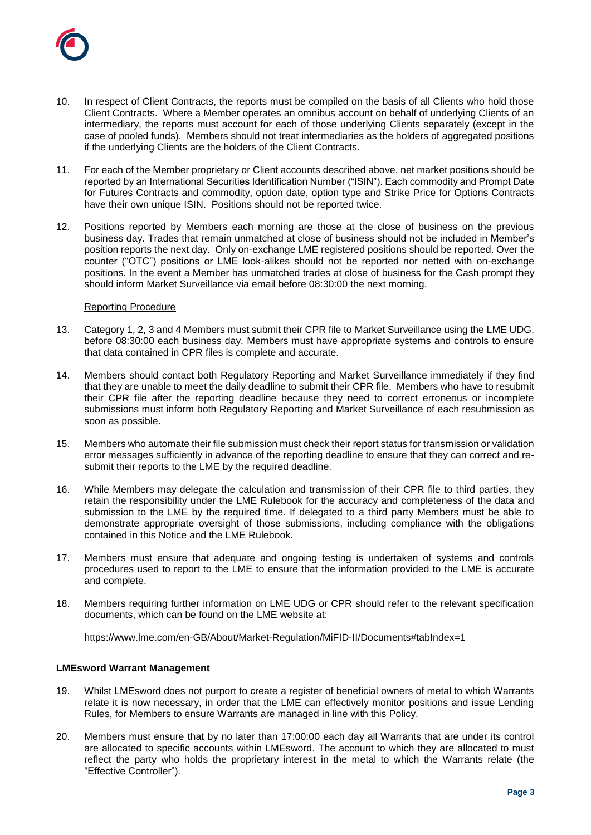

- 10. In respect of Client Contracts, the reports must be compiled on the basis of all Clients who hold those Client Contracts. Where a Member operates an omnibus account on behalf of underlying Clients of an intermediary, the reports must account for each of those underlying Clients separately (except in the case of pooled funds). Members should not treat intermediaries as the holders of aggregated positions if the underlying Clients are the holders of the Client Contracts.
- 11. For each of the Member proprietary or Client accounts described above, net market positions should be reported by an International Securities Identification Number ("ISIN"). Each commodity and Prompt Date for Futures Contracts and commodity, option date, option type and Strike Price for Options Contracts have their own unique ISIN. Positions should not be reported twice.
- 12. Positions reported by Members each morning are those at the close of business on the previous business day. Trades that remain unmatched at close of business should not be included in Member's position reports the next day. Only on-exchange LME registered positions should be reported. Over the counter ("OTC") positions or LME look-alikes should not be reported nor netted with on-exchange positions. In the event a Member has unmatched trades at close of business for the Cash prompt they should inform Market Surveillance via email before 08:30:00 the next morning.

### Reporting Procedure

- 13. Category 1, 2, 3 and 4 Members must submit their CPR file to Market Surveillance using the LME UDG, before 08:30:00 each business day. Members must have appropriate systems and controls to ensure that data contained in CPR files is complete and accurate.
- 14. Members should contact both Regulatory Reporting and Market Surveillance immediately if they find that they are unable to meet the daily deadline to submit their CPR file. Members who have to resubmit their CPR file after the reporting deadline because they need to correct erroneous or incomplete submissions must inform both Regulatory Reporting and Market Surveillance of each resubmission as soon as possible.
- 15. Members who automate their file submission must check their report status for transmission or validation error messages sufficiently in advance of the reporting deadline to ensure that they can correct and resubmit their reports to the LME by the required deadline.
- 16. While Members may delegate the calculation and transmission of their CPR file to third parties, they retain the responsibility under the LME Rulebook for the accuracy and completeness of the data and submission to the LME by the required time. If delegated to a third party Members must be able to demonstrate appropriate oversight of those submissions, including compliance with the obligations contained in this Notice and the LME Rulebook.
- 17. Members must ensure that adequate and ongoing testing is undertaken of systems and controls procedures used to report to the LME to ensure that the information provided to the LME is accurate and complete.
- 18. Members requiring further information on LME UDG or CPR should refer to the relevant specification documents, which can be found on the LME website at:

https://www.lme.com/en-GB/About/Market-Regulation/MiFID-II/Documents#tabIndex=1

### **LMEsword Warrant Management**

- 19. Whilst LMEsword does not purport to create a register of beneficial owners of metal to which Warrants relate it is now necessary, in order that the LME can effectively monitor positions and issue Lending Rules, for Members to ensure Warrants are managed in line with this Policy.
- 20. Members must ensure that by no later than 17:00:00 each day all Warrants that are under its control are allocated to specific accounts within LMEsword. The account to which they are allocated to must reflect the party who holds the proprietary interest in the metal to which the Warrants relate (the "Effective Controller").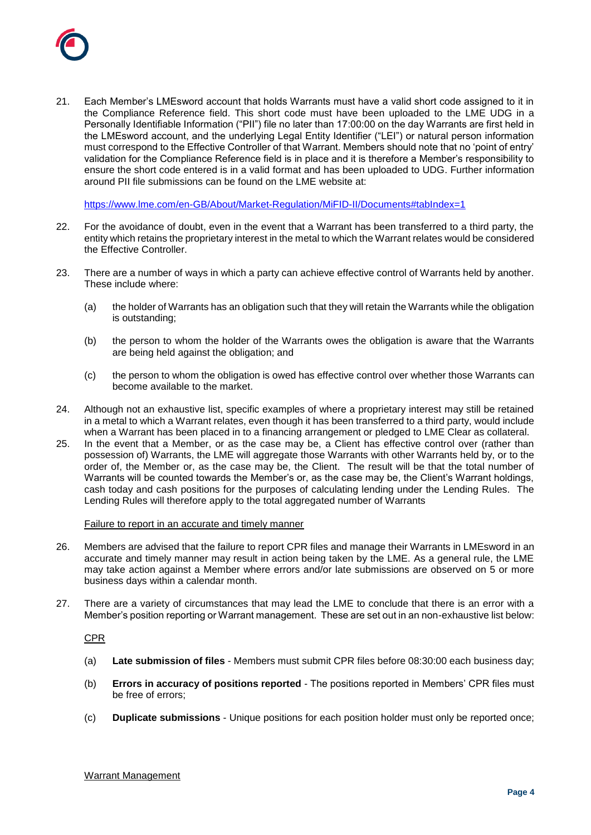

21. Each Member's LMEsword account that holds Warrants must have a valid short code assigned to it in the Compliance Reference field. This short code must have been uploaded to the LME UDG in a Personally Identifiable Information ("PII") file no later than 17:00:00 on the day Warrants are first held in the LMEsword account, and the underlying Legal Entity Identifier ("LEI") or natural person information must correspond to the Effective Controller of that Warrant. Members should note that no 'point of entry' validation for the Compliance Reference field is in place and it is therefore a Member's responsibility to ensure the short code entered is in a valid format and has been uploaded to UDG. Further information around PII file submissions can be found on the LME website at:

<https://www.lme.com/en-GB/About/Market-Regulation/MiFID-II/Documents#tabIndex=1>

- 22. For the avoidance of doubt, even in the event that a Warrant has been transferred to a third party, the entity which retains the proprietary interest in the metal to which the Warrant relates would be considered the Effective Controller.
- 23. There are a number of ways in which a party can achieve effective control of Warrants held by another. These include where:
	- (a) the holder of Warrants has an obligation such that they will retain the Warrants while the obligation is outstanding;
	- (b) the person to whom the holder of the Warrants owes the obligation is aware that the Warrants are being held against the obligation; and
	- (c) the person to whom the obligation is owed has effective control over whether those Warrants can become available to the market.
- 24. Although not an exhaustive list, specific examples of where a proprietary interest may still be retained in a metal to which a Warrant relates, even though it has been transferred to a third party, would include when a Warrant has been placed in to a financing arrangement or pledged to LME Clear as collateral.
- 25. In the event that a Member, or as the case may be, a Client has effective control over (rather than possession of) Warrants, the LME will aggregate those Warrants with other Warrants held by, or to the order of, the Member or, as the case may be, the Client. The result will be that the total number of Warrants will be counted towards the Member's or, as the case may be, the Client's Warrant holdings, cash today and cash positions for the purposes of calculating lending under the Lending Rules. The Lending Rules will therefore apply to the total aggregated number of Warrants

### Failure to report in an accurate and timely manner

- 26. Members are advised that the failure to report CPR files and manage their Warrants in LMEsword in an accurate and timely manner may result in action being taken by the LME. As a general rule, the LME may take action against a Member where errors and/or late submissions are observed on 5 or more business days within a calendar month.
- 27. There are a variety of circumstances that may lead the LME to conclude that there is an error with a Member's position reporting or Warrant management. These are set out in an non-exhaustive list below:

CPR

- (a) **Late submission of files** Members must submit CPR files before 08:30:00 each business day;
- (b) **Errors in accuracy of positions reported** The positions reported in Members' CPR files must be free of errors;
- (c) **Duplicate submissions** Unique positions for each position holder must only be reported once;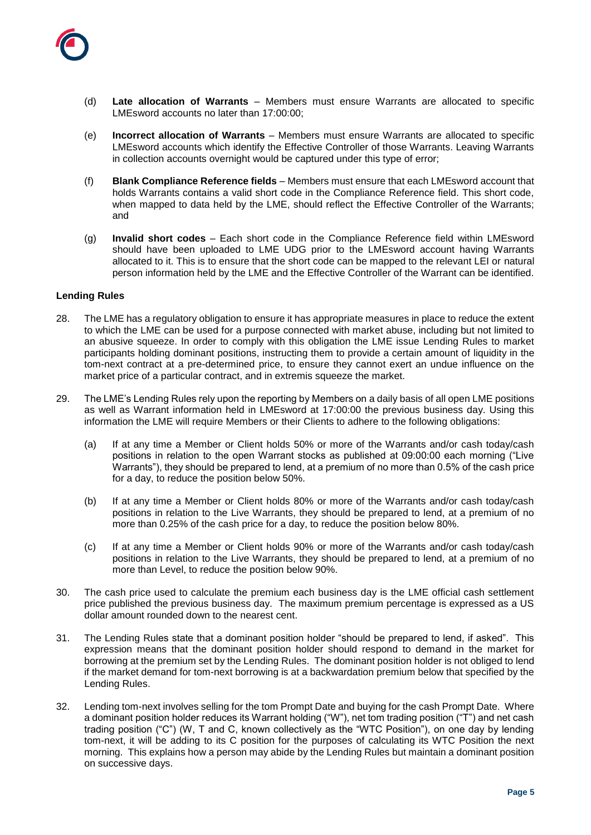

- (d) **Late allocation of Warrants** Members must ensure Warrants are allocated to specific LMEsword accounts no later than 17:00:00;
- (e) **Incorrect allocation of Warrants** Members must ensure Warrants are allocated to specific LMEsword accounts which identify the Effective Controller of those Warrants. Leaving Warrants in collection accounts overnight would be captured under this type of error;
- (f) **Blank Compliance Reference fields** Members must ensure that each LMEsword account that holds Warrants contains a valid short code in the Compliance Reference field. This short code, when mapped to data held by the LME, should reflect the Effective Controller of the Warrants; and
- (g) **Invalid short codes** Each short code in the Compliance Reference field within LMEsword should have been uploaded to LME UDG prior to the LMEsword account having Warrants allocated to it. This is to ensure that the short code can be mapped to the relevant LEI or natural person information held by the LME and the Effective Controller of the Warrant can be identified.

### **Lending Rules**

- 28. The LME has a regulatory obligation to ensure it has appropriate measures in place to reduce the extent to which the LME can be used for a purpose connected with market abuse, including but not limited to an abusive squeeze. In order to comply with this obligation the LME issue Lending Rules to market participants holding dominant positions, instructing them to provide a certain amount of liquidity in the tom-next contract at a pre-determined price, to ensure they cannot exert an undue influence on the market price of a particular contract, and in extremis squeeze the market.
- 29. The LME's Lending Rules rely upon the reporting by Members on a daily basis of all open LME positions as well as Warrant information held in LMEsword at 17:00:00 the previous business day. Using this information the LME will require Members or their Clients to adhere to the following obligations:
	- (a) If at any time a Member or Client holds 50% or more of the Warrants and/or cash today/cash positions in relation to the open Warrant stocks as published at 09:00:00 each morning ("Live Warrants"), they should be prepared to lend, at a premium of no more than 0.5% of the cash price for a day, to reduce the position below 50%.
	- (b) If at any time a Member or Client holds 80% or more of the Warrants and/or cash today/cash positions in relation to the Live Warrants, they should be prepared to lend, at a premium of no more than 0.25% of the cash price for a day, to reduce the position below 80%.
	- (c) If at any time a Member or Client holds 90% or more of the Warrants and/or cash today/cash positions in relation to the Live Warrants, they should be prepared to lend, at a premium of no more than Level, to reduce the position below 90%.
- 30. The cash price used to calculate the premium each business day is the LME official cash settlement price published the previous business day. The maximum premium percentage is expressed as a US dollar amount rounded down to the nearest cent.
- 31. The Lending Rules state that a dominant position holder "should be prepared to lend, if asked". This expression means that the dominant position holder should respond to demand in the market for borrowing at the premium set by the Lending Rules. The dominant position holder is not obliged to lend if the market demand for tom-next borrowing is at a backwardation premium below that specified by the Lending Rules.
- 32. Lending tom-next involves selling for the tom Prompt Date and buying for the cash Prompt Date. Where a dominant position holder reduces its Warrant holding ("W"), net tom trading position ("T") and net cash trading position ("C") (W, T and C, known collectively as the "WTC Position"), on one day by lending tom-next, it will be adding to its C position for the purposes of calculating its WTC Position the next morning. This explains how a person may abide by the Lending Rules but maintain a dominant position on successive days.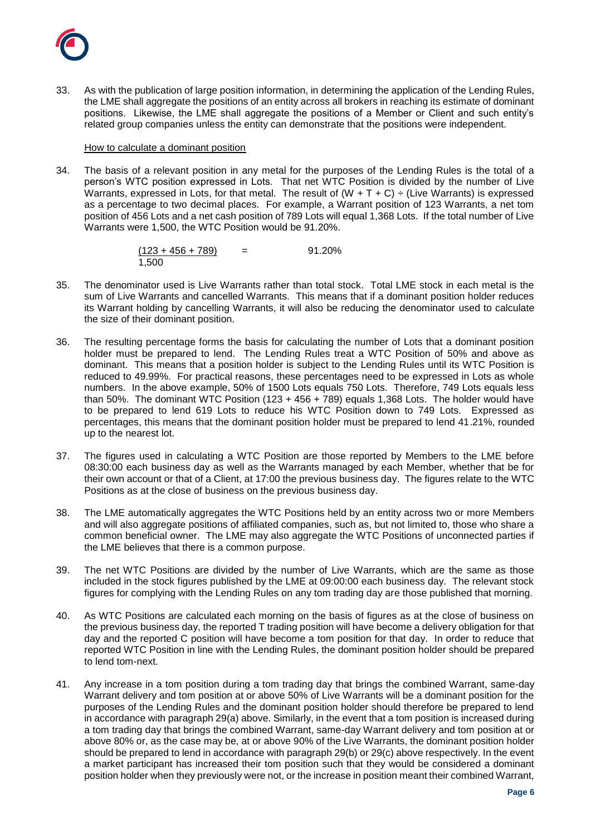

33. As with the publication of large position information, in determining the application of the Lending Rules, the LME shall aggregate the positions of an entity across all brokers in reaching its estimate of dominant positions. Likewise, the LME shall aggregate the positions of a Member or Client and such entity's related group companies unless the entity can demonstrate that the positions were independent.

### How to calculate a dominant position

34. The basis of a relevant position in any metal for the purposes of the Lending Rules is the total of a person's WTC position expressed in Lots. That net WTC Position is divided by the number of Live Warrants, expressed in Lots, for that metal. The result of  $(W + T + C)$  ÷ (Live Warrants) is expressed as a percentage to two decimal places. For example, a Warrant position of 123 Warrants, a net tom position of 456 Lots and a net cash position of 789 Lots will equal 1,368 Lots. If the total number of Live Warrants were 1,500, the WTC Position would be 91.20%.

> $(123 + 456 + 789)$ 1,500  $=$  91.20%

- 35. The denominator used is Live Warrants rather than total stock. Total LME stock in each metal is the sum of Live Warrants and cancelled Warrants. This means that if a dominant position holder reduces its Warrant holding by cancelling Warrants, it will also be reducing the denominator used to calculate the size of their dominant position.
- 36. The resulting percentage forms the basis for calculating the number of Lots that a dominant position holder must be prepared to lend. The Lending Rules treat a WTC Position of 50% and above as dominant. This means that a position holder is subject to the Lending Rules until its WTC Position is reduced to 49.99%. For practical reasons, these percentages need to be expressed in Lots as whole numbers. In the above example, 50% of 1500 Lots equals 750 Lots. Therefore, 749 Lots equals less than 50%. The dominant WTC Position (123 + 456 + 789) equals 1,368 Lots. The holder would have to be prepared to lend 619 Lots to reduce his WTC Position down to 749 Lots. Expressed as percentages, this means that the dominant position holder must be prepared to lend 41.21%, rounded up to the nearest lot.
- 37. The figures used in calculating a WTC Position are those reported by Members to the LME before 08:30:00 each business day as well as the Warrants managed by each Member, whether that be for their own account or that of a Client, at 17:00 the previous business day. The figures relate to the WTC Positions as at the close of business on the previous business day.
- 38. The LME automatically aggregates the WTC Positions held by an entity across two or more Members and will also aggregate positions of affiliated companies, such as, but not limited to, those who share a common beneficial owner. The LME may also aggregate the WTC Positions of unconnected parties if the LME believes that there is a common purpose.
- 39. The net WTC Positions are divided by the number of Live Warrants, which are the same as those included in the stock figures published by the LME at 09:00:00 each business day. The relevant stock figures for complying with the Lending Rules on any tom trading day are those published that morning.
- 40. As WTC Positions are calculated each morning on the basis of figures as at the close of business on the previous business day, the reported T trading position will have become a delivery obligation for that day and the reported C position will have become a tom position for that day. In order to reduce that reported WTC Position in line with the Lending Rules, the dominant position holder should be prepared to lend tom-next.
- 41. Any increase in a tom position during a tom trading day that brings the combined Warrant, same-day Warrant delivery and tom position at or above 50% of Live Warrants will be a dominant position for the purposes of the Lending Rules and the dominant position holder should therefore be prepared to lend in accordance with paragraph 29(a) above. Similarly, in the event that a tom position is increased during a tom trading day that brings the combined Warrant, same-day Warrant delivery and tom position at or above 80% or, as the case may be, at or above 90% of the Live Warrants, the dominant position holder should be prepared to lend in accordance with paragraph 29(b) or 29(c) above respectively. In the event a market participant has increased their tom position such that they would be considered a dominant position holder when they previously were not, or the increase in position meant their combined Warrant,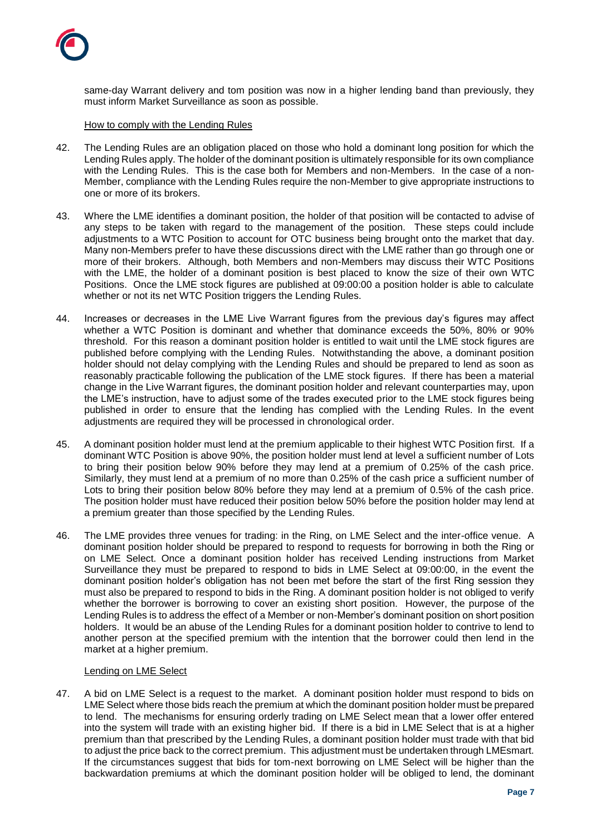

same-day Warrant delivery and tom position was now in a higher lending band than previously, they must inform Market Surveillance as soon as possible.

How to comply with the Lending Rules

- 42. The Lending Rules are an obligation placed on those who hold a dominant long position for which the Lending Rules apply. The holder of the dominant position is ultimately responsible for its own compliance with the Lending Rules. This is the case both for Members and non-Members. In the case of a non-Member, compliance with the Lending Rules require the non-Member to give appropriate instructions to one or more of its brokers.
- 43. Where the LME identifies a dominant position, the holder of that position will be contacted to advise of any steps to be taken with regard to the management of the position. These steps could include adjustments to a WTC Position to account for OTC business being brought onto the market that day. Many non-Members prefer to have these discussions direct with the LME rather than go through one or more of their brokers. Although, both Members and non-Members may discuss their WTC Positions with the LME, the holder of a dominant position is best placed to know the size of their own WTC Positions. Once the LME stock figures are published at 09:00:00 a position holder is able to calculate whether or not its net WTC Position triggers the Lending Rules.
- 44. Increases or decreases in the LME Live Warrant figures from the previous day's figures may affect whether a WTC Position is dominant and whether that dominance exceeds the 50%, 80% or 90% threshold. For this reason a dominant position holder is entitled to wait until the LME stock figures are published before complying with the Lending Rules. Notwithstanding the above, a dominant position holder should not delay complying with the Lending Rules and should be prepared to lend as soon as reasonably practicable following the publication of the LME stock figures. If there has been a material change in the Live Warrant figures, the dominant position holder and relevant counterparties may, upon the LME's instruction, have to adjust some of the trades executed prior to the LME stock figures being published in order to ensure that the lending has complied with the Lending Rules. In the event adjustments are required they will be processed in chronological order.
- 45. A dominant position holder must lend at the premium applicable to their highest WTC Position first. If a dominant WTC Position is above 90%, the position holder must lend at level a sufficient number of Lots to bring their position below 90% before they may lend at a premium of 0.25% of the cash price. Similarly, they must lend at a premium of no more than 0.25% of the cash price a sufficient number of Lots to bring their position below 80% before they may lend at a premium of 0.5% of the cash price. The position holder must have reduced their position below 50% before the position holder may lend at a premium greater than those specified by the Lending Rules.
- 46. The LME provides three venues for trading: in the Ring, on LME Select and the inter-office venue. A dominant position holder should be prepared to respond to requests for borrowing in both the Ring or on LME Select. Once a dominant position holder has received Lending instructions from Market Surveillance they must be prepared to respond to bids in LME Select at 09:00:00, in the event the dominant position holder's obligation has not been met before the start of the first Ring session they must also be prepared to respond to bids in the Ring. A dominant position holder is not obliged to verify whether the borrower is borrowing to cover an existing short position. However, the purpose of the Lending Rules is to address the effect of a Member or non-Member's dominant position on short position holders. It would be an abuse of the Lending Rules for a dominant position holder to contrive to lend to another person at the specified premium with the intention that the borrower could then lend in the market at a higher premium.

### Lending on LME Select

47. A bid on LME Select is a request to the market. A dominant position holder must respond to bids on LME Select where those bids reach the premium at which the dominant position holder must be prepared to lend. The mechanisms for ensuring orderly trading on LME Select mean that a lower offer entered into the system will trade with an existing higher bid. If there is a bid in LME Select that is at a higher premium than that prescribed by the Lending Rules, a dominant position holder must trade with that bid to adjust the price back to the correct premium. This adjustment must be undertaken through LMEsmart. If the circumstances suggest that bids for tom-next borrowing on LME Select will be higher than the backwardation premiums at which the dominant position holder will be obliged to lend, the dominant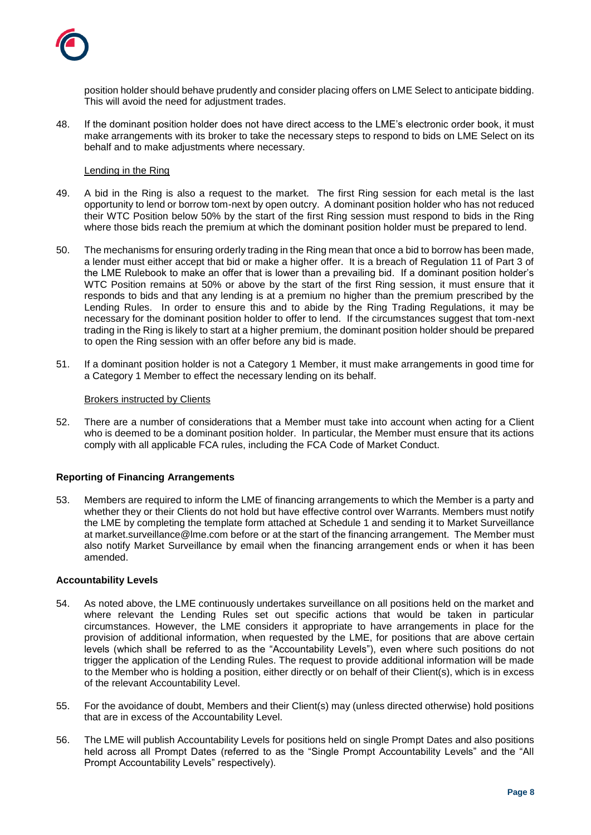

position holder should behave prudently and consider placing offers on LME Select to anticipate bidding. This will avoid the need for adjustment trades.

48. If the dominant position holder does not have direct access to the LME's electronic order book, it must make arrangements with its broker to take the necessary steps to respond to bids on LME Select on its behalf and to make adjustments where necessary.

## Lending in the Ring

- 49. A bid in the Ring is also a request to the market. The first Ring session for each metal is the last opportunity to lend or borrow tom-next by open outcry. A dominant position holder who has not reduced their WTC Position below 50% by the start of the first Ring session must respond to bids in the Ring where those bids reach the premium at which the dominant position holder must be prepared to lend.
- 50. The mechanisms for ensuring orderly trading in the Ring mean that once a bid to borrow has been made, a lender must either accept that bid or make a higher offer. It is a breach of Regulation 11 of Part 3 of the LME Rulebook to make an offer that is lower than a prevailing bid. If a dominant position holder's WTC Position remains at 50% or above by the start of the first Ring session, it must ensure that it responds to bids and that any lending is at a premium no higher than the premium prescribed by the Lending Rules. In order to ensure this and to abide by the Ring Trading Regulations, it may be necessary for the dominant position holder to offer to lend. If the circumstances suggest that tom-next trading in the Ring is likely to start at a higher premium, the dominant position holder should be prepared to open the Ring session with an offer before any bid is made.
- 51. If a dominant position holder is not a Category 1 Member, it must make arrangements in good time for a Category 1 Member to effect the necessary lending on its behalf.

### Brokers instructed by Clients

52. There are a number of considerations that a Member must take into account when acting for a Client who is deemed to be a dominant position holder. In particular, the Member must ensure that its actions comply with all applicable FCA rules, including the FCA Code of Market Conduct.

# **Reporting of Financing Arrangements**

53. Members are required to inform the LME of financing arrangements to which the Member is a party and whether they or their Clients do not hold but have effective control over Warrants. Members must notify the LME by completing the template form attached at Schedule 1 and sending it to Market Surveillance at market.surveillance@lme.com before or at the start of the financing arrangement. The Member must also notify Market Surveillance by email when the financing arrangement ends or when it has been amended.

# **Accountability Levels**

- 54. As noted above, the LME continuously undertakes surveillance on all positions held on the market and where relevant the Lending Rules set out specific actions that would be taken in particular circumstances. However, the LME considers it appropriate to have arrangements in place for the provision of additional information, when requested by the LME, for positions that are above certain levels (which shall be referred to as the "Accountability Levels"), even where such positions do not trigger the application of the Lending Rules. The request to provide additional information will be made to the Member who is holding a position, either directly or on behalf of their Client(s), which is in excess of the relevant Accountability Level.
- 55. For the avoidance of doubt, Members and their Client(s) may (unless directed otherwise) hold positions that are in excess of the Accountability Level.
- 56. The LME will publish Accountability Levels for positions held on single Prompt Dates and also positions held across all Prompt Dates (referred to as the "Single Prompt Accountability Levels" and the "All Prompt Accountability Levels" respectively).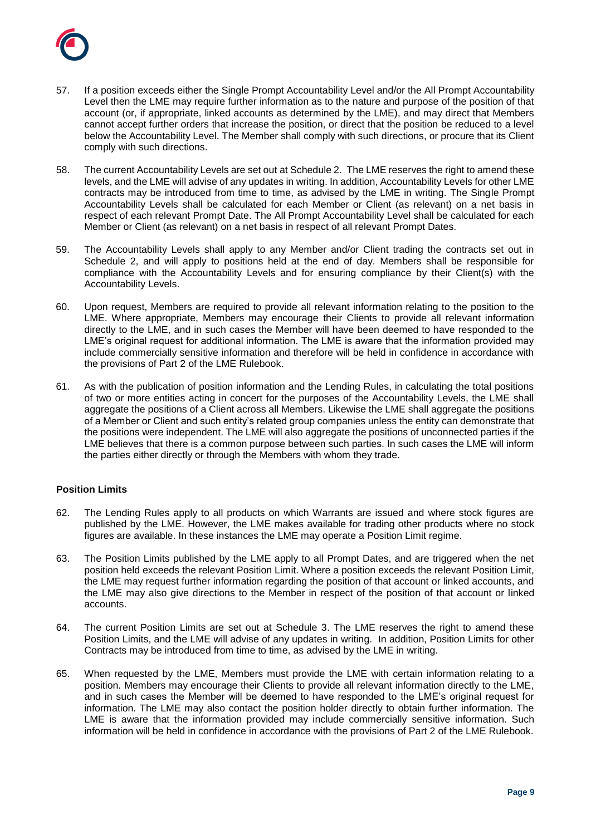

- 57. If a position exceeds either the Single Prompt Accountability Level and/or the All Prompt Accountability Level then the LME may require further information as to the nature and purpose of the position of that account (or, if appropriate, linked accounts as determined by the LME), and may direct that Members cannot accept further orders that increase the position, or direct that the position be reduced to a level below the Accountability Level. The Member shall comply with such directions, or procure that its Client comply with such directions.
- 58. The current Accountability Levels are set out at Schedule 2. The LME reserves the right to amend these levels, and the LME will advise of any updates in writing. In addition, Accountability Levels for other LME contracts may be introduced from time to time, as advised by the LME in writing. The Single Prompt Accountability Levels shall be calculated for each Member or Client (as relevant) on a net basis in respect of each relevant Prompt Date. The All Prompt Accountability Level shall be calculated for each Member or Client (as relevant) on a net basis in respect of all relevant Prompt Dates.
- 59. The Accountability Levels shall apply to any Member and/or Client trading the contracts set out in Schedule 2, and will apply to positions held at the end of day. Members shall be responsible for compliance with the Accountability Levels and for ensuring compliance by their Client(s) with the Accountability Levels.
- 60. Upon request, Members are required to provide all relevant information relating to the position to the LME. Where appropriate, Members may encourage their Clients to provide all relevant information directly to the LME, and in such cases the Member will have been deemed to have responded to the LME's original request for additional information. The LME is aware that the information provided may include commercially sensitive information and therefore will be held in confidence in accordance with the provisions of Part 2 of the LME Rulebook.
- 61. As with the publication of position information and the Lending Rules, in calculating the total positions of two or more entities acting in concert for the purposes of the Accountability Levels, the LME shall aggregate the positions of a Client across all Members. Likewise the LME shall aggregate the positions of a Member or Client and such entity's related group companies unless the entity can demonstrate that the positions were independent. The LME will also aggregate the positions of unconnected parties if the LME believes that there is a common purpose between such parties. In such cases the LME will inform the parties either directly or through the Members with whom they trade.

# **Position Limits**

- 62. The Lending Rules apply to all products on which Warrants are issued and where stock figures are published by the LME. However, the LME makes available for trading other products where no stock figures are available. In these instances the LME may operate a Position Limit regime.
- 63. The Position Limits published by the LME apply to all Prompt Dates, and are triggered when the net position held exceeds the relevant Position Limit. Where a position exceeds the relevant Position Limit, the LME may request further information regarding the position of that account or linked accounts, and the LME may also give directions to the Member in respect of the position of that account or linked accounts.
- 64. The current Position Limits are set out at Schedule 3. The LME reserves the right to amend these Position Limits, and the LME will advise of any updates in writing. In addition, Position Limits for other Contracts may be introduced from time to time, as advised by the LME in writing.
- 65. When requested by the LME, Members must provide the LME with certain information relating to a position. Members may encourage their Clients to provide all relevant information directly to the LME, and in such cases the Member will be deemed to have responded to the LME's original request for information. The LME may also contact the position holder directly to obtain further information. The LME is aware that the information provided may include commercially sensitive information. Such information will be held in confidence in accordance with the provisions of Part 2 of the LME Rulebook.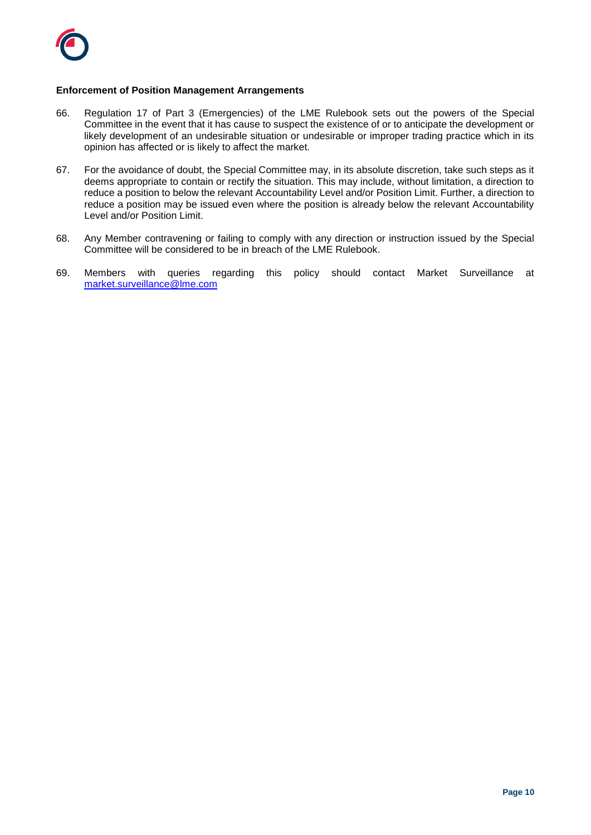

## **Enforcement of Position Management Arrangements**

- 66. Regulation 17 of Part 3 (Emergencies) of the LME Rulebook sets out the powers of the Special Committee in the event that it has cause to suspect the existence of or to anticipate the development or likely development of an undesirable situation or undesirable or improper trading practice which in its opinion has affected or is likely to affect the market.
- 67. For the avoidance of doubt, the Special Committee may, in its absolute discretion, take such steps as it deems appropriate to contain or rectify the situation. This may include, without limitation, a direction to reduce a position to below the relevant Accountability Level and/or Position Limit. Further, a direction to reduce a position may be issued even where the position is already below the relevant Accountability Level and/or Position Limit.
- 68. Any Member contravening or failing to comply with any direction or instruction issued by the Special Committee will be considered to be in breach of the LME Rulebook.
- 69. Members with queries regarding this policy should contact Market Surveillance at [market.surveillance@lme.com](mailto:market.surveillance@lme.com)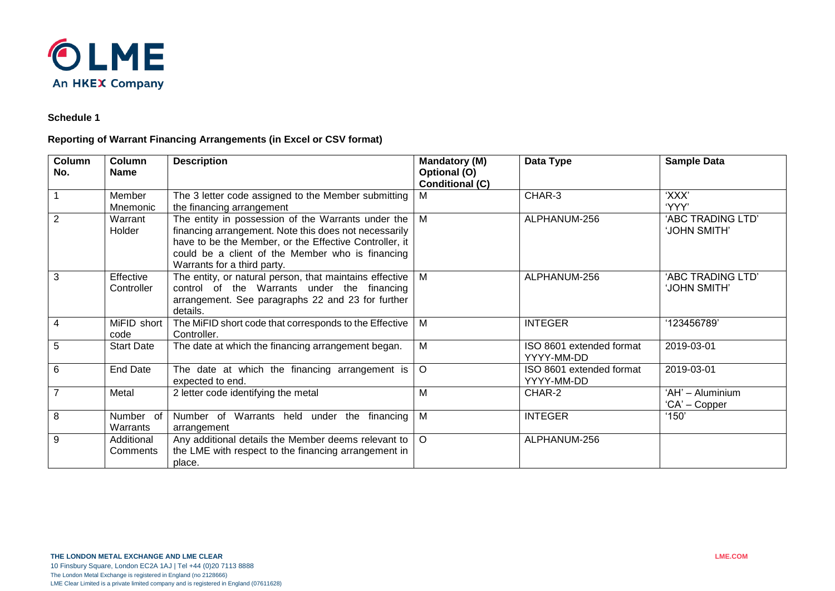

# **Schedule 1**

# **Reporting of Warrant Financing Arrangements (in Excel or CSV format)**

| Column<br>No.  | Column<br><b>Name</b>    | <b>Description</b>                                                                                                                                                                                                                                       | <b>Mandatory (M)</b><br>Optional (O)<br><b>Conditional (C)</b> | Data Type                              | <b>Sample Data</b>                |
|----------------|--------------------------|----------------------------------------------------------------------------------------------------------------------------------------------------------------------------------------------------------------------------------------------------------|----------------------------------------------------------------|----------------------------------------|-----------------------------------|
|                | Member<br>Mnemonic       | The 3 letter code assigned to the Member submitting<br>the financing arrangement                                                                                                                                                                         | м                                                              | CHAR-3                                 | 'XXX'<br>'YYY'                    |
| $\overline{2}$ | Warrant<br><b>Holder</b> | The entity in possession of the Warrants under the<br>financing arrangement. Note this does not necessarily<br>have to be the Member, or the Effective Controller, it<br>could be a client of the Member who is financing<br>Warrants for a third party. | М                                                              | ALPHANUM-256                           | 'ABC TRADING LTD'<br>'JOHN SMITH' |
| 3              | Effective<br>Controller  | The entity, or natural person, that maintains effective<br>control of the Warrants under the financing<br>arrangement. See paragraphs 22 and 23 for further<br>details.                                                                                  | М                                                              | ALPHANUM-256                           | 'ABC TRADING LTD'<br>'JOHN SMITH' |
| $\overline{4}$ | MiFID short<br>code      | The MiFID short code that corresponds to the Effective<br>Controller.                                                                                                                                                                                    | Μ                                                              | <b>INTEGER</b>                         | '123456789'                       |
| 5              | <b>Start Date</b>        | The date at which the financing arrangement began.                                                                                                                                                                                                       | Μ                                                              | ISO 8601 extended format<br>YYYY-MM-DD | 2019-03-01                        |
| 6              | End Date                 | The date at which the financing arrangement is<br>expected to end.                                                                                                                                                                                       | O                                                              | ISO 8601 extended format<br>YYYY-MM-DD | 2019-03-01                        |
| $\overline{7}$ | Metal                    | 2 letter code identifying the metal                                                                                                                                                                                                                      | М                                                              | CHAR-2                                 | 'AH' - Aluminium<br>'CA' – Copper |
| 8              | Number of<br>Warrants    | Number of Warrants held under the financing<br>arrangement                                                                                                                                                                                               | M                                                              | <b>INTEGER</b>                         | '150'                             |
| 9              | Additional<br>Comments   | Any additional details the Member deems relevant to<br>the LME with respect to the financing arrangement in<br>place.                                                                                                                                    | $\circ$                                                        | ALPHANUM-256                           |                                   |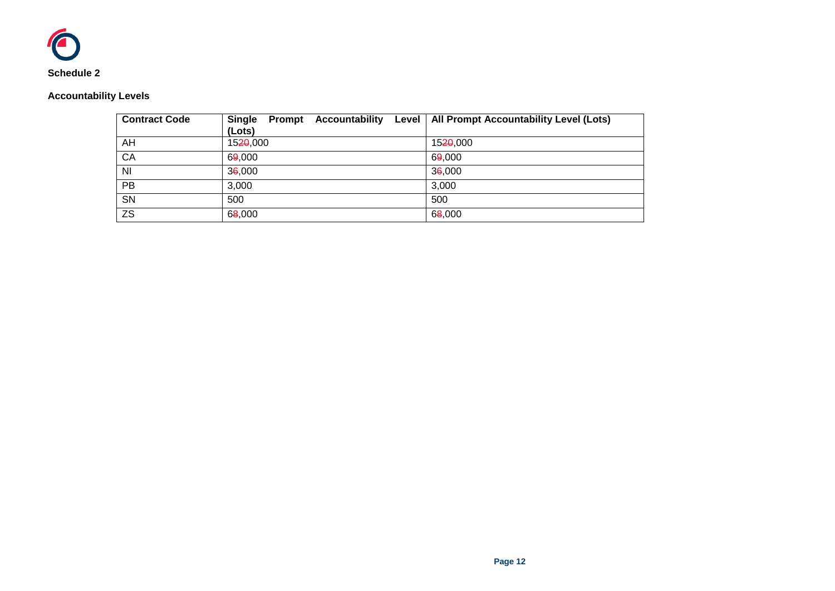

# **Accountability Levels**

| <b>Contract Code</b> | <b>Single</b><br>Prompt<br>(Lots) | Accountability Level   All Prompt Accountability Level (Lots) |
|----------------------|-----------------------------------|---------------------------------------------------------------|
| AH                   | 1520,000                          | 15 <del>20</del> .000                                         |
| CA                   | 69,000                            | 69,000                                                        |
| NI                   | 36,000                            | 36,000                                                        |
| PB                   | 3,000                             | 3,000                                                         |
| SN                   | 500                               | 500                                                           |
| <b>ZS</b>            | 68,000                            | 68,000                                                        |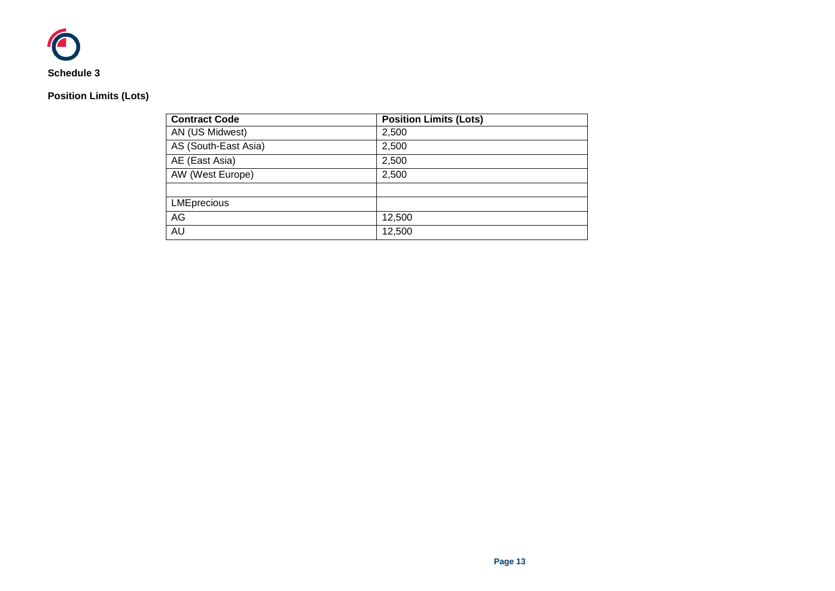

# **Position Limits (Lots)**

| <b>Contract Code</b> | <b>Position Limits (Lots)</b> |
|----------------------|-------------------------------|
| AN (US Midwest)      | 2,500                         |
| AS (South-East Asia) | 2,500                         |
| AE (East Asia)       | 2,500                         |
| AW (West Europe)     | 2,500                         |
|                      |                               |
| <b>LMEprecious</b>   |                               |
| AG                   | 12,500                        |
| AU                   | 12,500                        |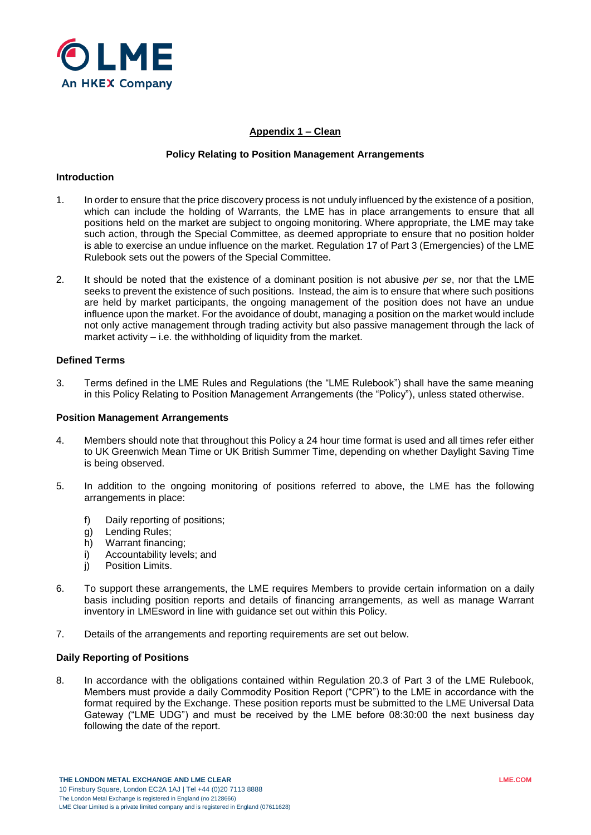

# **Appendix 1 – Clean**

### **Policy Relating to Position Management Arrangements**

### **Introduction**

- 1. In order to ensure that the price discovery process is not unduly influenced by the existence of a position, which can include the holding of Warrants, the LME has in place arrangements to ensure that all positions held on the market are subject to ongoing monitoring. Where appropriate, the LME may take such action, through the Special Committee, as deemed appropriate to ensure that no position holder is able to exercise an undue influence on the market. Regulation 17 of Part 3 (Emergencies) of the LME Rulebook sets out the powers of the Special Committee.
- 2. It should be noted that the existence of a dominant position is not abusive *per se*, nor that the LME seeks to prevent the existence of such positions. Instead, the aim is to ensure that where such positions are held by market participants, the ongoing management of the position does not have an undue influence upon the market. For the avoidance of doubt, managing a position on the market would include not only active management through trading activity but also passive management through the lack of market activity  $-$  i.e. the withholding of liquidity from the market.

### **Defined Terms**

3. Terms defined in the LME Rules and Regulations (the "LME Rulebook") shall have the same meaning in this Policy Relating to Position Management Arrangements (the "Policy"), unless stated otherwise.

### **Position Management Arrangements**

- 4. Members should note that throughout this Policy a 24 hour time format is used and all times refer either to UK Greenwich Mean Time or UK British Summer Time, depending on whether Daylight Saving Time is being observed.
- 5. In addition to the ongoing monitoring of positions referred to above, the LME has the following arrangements in place:
	- f) Daily reporting of positions;
	- g) Lending Rules;
	- h) Warrant financing;
	- i) Accountability levels; and
	- j) Position Limits.
- 6. To support these arrangements, the LME requires Members to provide certain information on a daily basis including position reports and details of financing arrangements, as well as manage Warrant inventory in LMEsword in line with guidance set out within this Policy.
- 7. Details of the arrangements and reporting requirements are set out below.

## **Daily Reporting of Positions**

8. In accordance with the obligations contained within Regulation 20.3 of Part 3 of the LME Rulebook, Members must provide a daily Commodity Position Report ("CPR") to the LME in accordance with the format required by the Exchange. These position reports must be submitted to the LME Universal Data Gateway ("LME UDG") and must be received by the LME before 08:30:00 the next business day following the date of the report.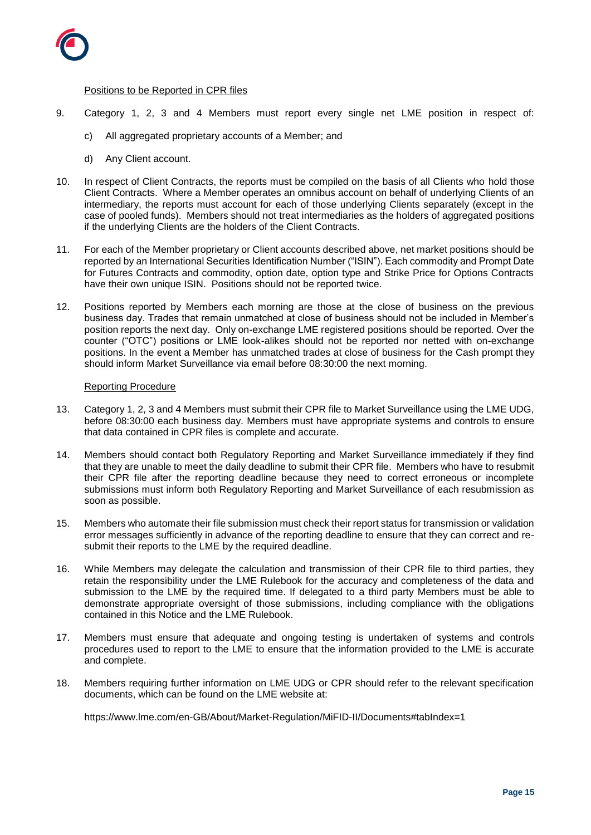

# Positions to be Reported in CPR files

- 9. Category 1, 2, 3 and 4 Members must report every single net LME position in respect of:
	- c) All aggregated proprietary accounts of a Member; and
	- d) Any Client account.
- 10. In respect of Client Contracts, the reports must be compiled on the basis of all Clients who hold those Client Contracts. Where a Member operates an omnibus account on behalf of underlying Clients of an intermediary, the reports must account for each of those underlying Clients separately (except in the case of pooled funds). Members should not treat intermediaries as the holders of aggregated positions if the underlying Clients are the holders of the Client Contracts.
- 11. For each of the Member proprietary or Client accounts described above, net market positions should be reported by an International Securities Identification Number ("ISIN"). Each commodity and Prompt Date for Futures Contracts and commodity, option date, option type and Strike Price for Options Contracts have their own unique ISIN. Positions should not be reported twice.
- 12. Positions reported by Members each morning are those at the close of business on the previous business day. Trades that remain unmatched at close of business should not be included in Member's position reports the next day. Only on-exchange LME registered positions should be reported. Over the counter ("OTC") positions or LME look-alikes should not be reported nor netted with on-exchange positions. In the event a Member has unmatched trades at close of business for the Cash prompt they should inform Market Surveillance via email before 08:30:00 the next morning.

### Reporting Procedure

- 13. Category 1, 2, 3 and 4 Members must submit their CPR file to Market Surveillance using the LME UDG, before 08:30:00 each business day. Members must have appropriate systems and controls to ensure that data contained in CPR files is complete and accurate.
- 14. Members should contact both Regulatory Reporting and Market Surveillance immediately if they find that they are unable to meet the daily deadline to submit their CPR file. Members who have to resubmit their CPR file after the reporting deadline because they need to correct erroneous or incomplete submissions must inform both Regulatory Reporting and Market Surveillance of each resubmission as soon as possible.
- 15. Members who automate their file submission must check their report status for transmission or validation error messages sufficiently in advance of the reporting deadline to ensure that they can correct and resubmit their reports to the LME by the required deadline.
- 16. While Members may delegate the calculation and transmission of their CPR file to third parties, they retain the responsibility under the LME Rulebook for the accuracy and completeness of the data and submission to the LME by the required time. If delegated to a third party Members must be able to demonstrate appropriate oversight of those submissions, including compliance with the obligations contained in this Notice and the LME Rulebook.
- 17. Members must ensure that adequate and ongoing testing is undertaken of systems and controls procedures used to report to the LME to ensure that the information provided to the LME is accurate and complete.
- 18. Members requiring further information on LME UDG or CPR should refer to the relevant specification documents, which can be found on the LME website at:

https://www.lme.com/en-GB/About/Market-Regulation/MiFID-II/Documents#tabIndex=1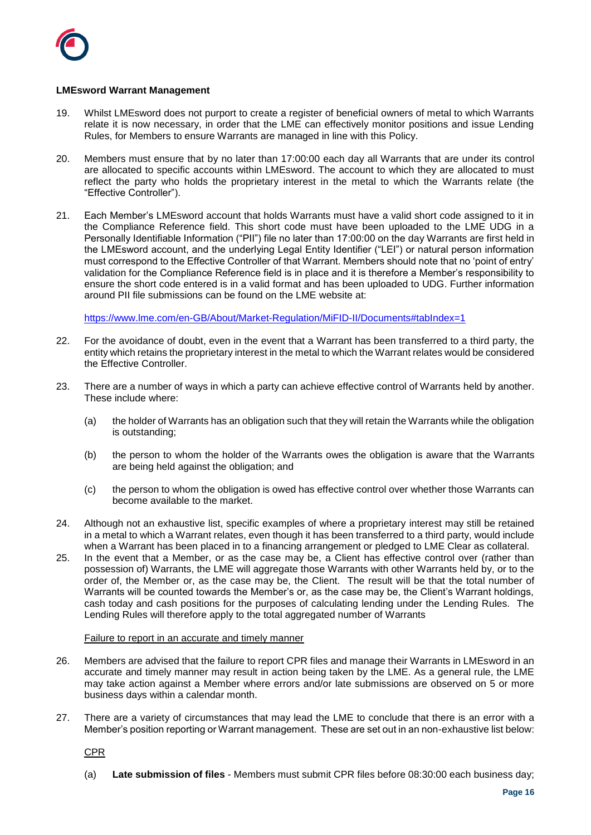

# **LMEsword Warrant Management**

- 19. Whilst LMEsword does not purport to create a register of beneficial owners of metal to which Warrants relate it is now necessary, in order that the LME can effectively monitor positions and issue Lending Rules, for Members to ensure Warrants are managed in line with this Policy.
- 20. Members must ensure that by no later than 17:00:00 each day all Warrants that are under its control are allocated to specific accounts within LMEsword. The account to which they are allocated to must reflect the party who holds the proprietary interest in the metal to which the Warrants relate (the "Effective Controller").
- 21. Each Member's LMEsword account that holds Warrants must have a valid short code assigned to it in the Compliance Reference field. This short code must have been uploaded to the LME UDG in a Personally Identifiable Information ("PII") file no later than 17:00:00 on the day Warrants are first held in the LMEsword account, and the underlying Legal Entity Identifier ("LEI") or natural person information must correspond to the Effective Controller of that Warrant. Members should note that no 'point of entry' validation for the Compliance Reference field is in place and it is therefore a Member's responsibility to ensure the short code entered is in a valid format and has been uploaded to UDG. Further information around PII file submissions can be found on the LME website at:

<https://www.lme.com/en-GB/About/Market-Regulation/MiFID-II/Documents#tabIndex=1>

- 22. For the avoidance of doubt, even in the event that a Warrant has been transferred to a third party, the entity which retains the proprietary interest in the metal to which the Warrant relates would be considered the Effective Controller.
- 23. There are a number of ways in which a party can achieve effective control of Warrants held by another. These include where:
	- (a) the holder of Warrants has an obligation such that they will retain the Warrants while the obligation is outstanding;
	- (b) the person to whom the holder of the Warrants owes the obligation is aware that the Warrants are being held against the obligation; and
	- (c) the person to whom the obligation is owed has effective control over whether those Warrants can become available to the market.
- 24. Although not an exhaustive list, specific examples of where a proprietary interest may still be retained in a metal to which a Warrant relates, even though it has been transferred to a third party, would include when a Warrant has been placed in to a financing arrangement or pledged to LME Clear as collateral.
- 25. In the event that a Member, or as the case may be, a Client has effective control over (rather than possession of) Warrants, the LME will aggregate those Warrants with other Warrants held by, or to the order of, the Member or, as the case may be, the Client. The result will be that the total number of Warrants will be counted towards the Member's or, as the case may be, the Client's Warrant holdings, cash today and cash positions for the purposes of calculating lending under the Lending Rules. The Lending Rules will therefore apply to the total aggregated number of Warrants

### Failure to report in an accurate and timely manner

- 26. Members are advised that the failure to report CPR files and manage their Warrants in LMEsword in an accurate and timely manner may result in action being taken by the LME. As a general rule, the LME may take action against a Member where errors and/or late submissions are observed on 5 or more business days within a calendar month.
- 27. There are a variety of circumstances that may lead the LME to conclude that there is an error with a Member's position reporting or Warrant management. These are set out in an non-exhaustive list below:

CPR

(a) **Late submission of files** - Members must submit CPR files before 08:30:00 each business day;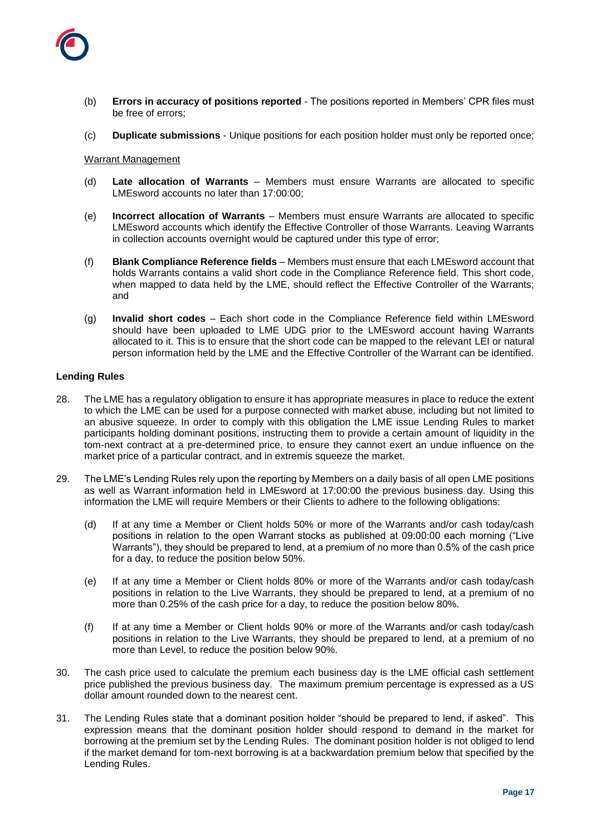

- (b) **Errors in accuracy of positions reported** The positions reported in Members' CPR files must be free of errors;
- (c) **Duplicate submissions** Unique positions for each position holder must only be reported once;

### Warrant Management

- (d) **Late allocation of Warrants** Members must ensure Warrants are allocated to specific LMEsword accounts no later than 17:00:00;
- (e) **Incorrect allocation of Warrants** Members must ensure Warrants are allocated to specific LMEsword accounts which identify the Effective Controller of those Warrants. Leaving Warrants in collection accounts overnight would be captured under this type of error;
- (f) **Blank Compliance Reference fields** Members must ensure that each LMEsword account that holds Warrants contains a valid short code in the Compliance Reference field. This short code, when mapped to data held by the LME, should reflect the Effective Controller of the Warrants; and
- (g) **Invalid short codes** Each short code in the Compliance Reference field within LMEsword should have been uploaded to LME UDG prior to the LMEsword account having Warrants allocated to it. This is to ensure that the short code can be mapped to the relevant LEI or natural person information held by the LME and the Effective Controller of the Warrant can be identified.

### **Lending Rules**

- 28. The LME has a regulatory obligation to ensure it has appropriate measures in place to reduce the extent to which the LME can be used for a purpose connected with market abuse, including but not limited to an abusive squeeze. In order to comply with this obligation the LME issue Lending Rules to market participants holding dominant positions, instructing them to provide a certain amount of liquidity in the tom-next contract at a pre-determined price, to ensure they cannot exert an undue influence on the market price of a particular contract, and in extremis squeeze the market.
- 29. The LME's Lending Rules rely upon the reporting by Members on a daily basis of all open LME positions as well as Warrant information held in LMEsword at 17:00:00 the previous business day. Using this information the LME will require Members or their Clients to adhere to the following obligations:
	- (d) If at any time a Member or Client holds 50% or more of the Warrants and/or cash today/cash positions in relation to the open Warrant stocks as published at 09:00:00 each morning ("Live Warrants"), they should be prepared to lend, at a premium of no more than 0.5% of the cash price for a day, to reduce the position below 50%.
	- (e) If at any time a Member or Client holds 80% or more of the Warrants and/or cash today/cash positions in relation to the Live Warrants, they should be prepared to lend, at a premium of no more than 0.25% of the cash price for a day, to reduce the position below 80%.
	- (f) If at any time a Member or Client holds 90% or more of the Warrants and/or cash today/cash positions in relation to the Live Warrants, they should be prepared to lend, at a premium of no more than Level, to reduce the position below 90%.
- 30. The cash price used to calculate the premium each business day is the LME official cash settlement price published the previous business day. The maximum premium percentage is expressed as a US dollar amount rounded down to the nearest cent.
- 31. The Lending Rules state that a dominant position holder "should be prepared to lend, if asked". This expression means that the dominant position holder should respond to demand in the market for borrowing at the premium set by the Lending Rules. The dominant position holder is not obliged to lend if the market demand for tom-next borrowing is at a backwardation premium below that specified by the Lending Rules.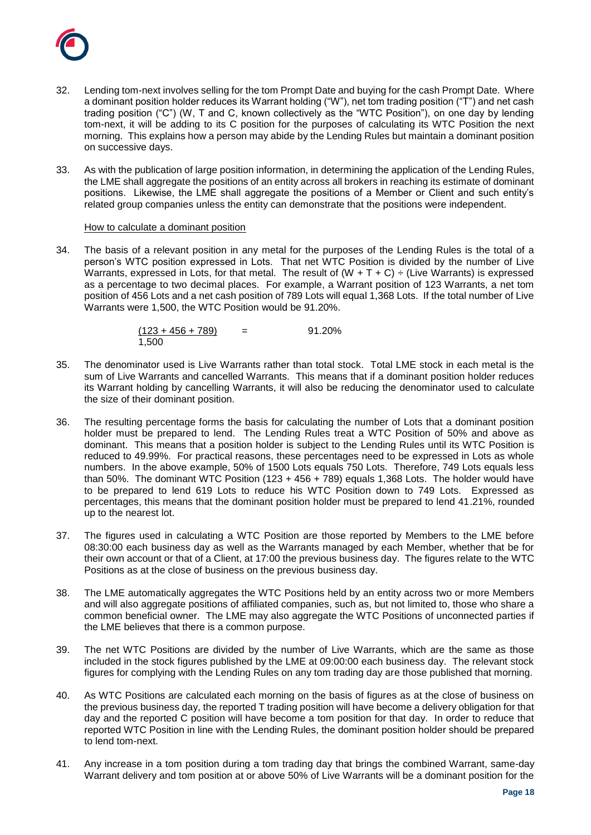

- 32. Lending tom-next involves selling for the tom Prompt Date and buying for the cash Prompt Date. Where a dominant position holder reduces its Warrant holding ("W"), net tom trading position ("T") and net cash trading position ("C") (W, T and C, known collectively as the "WTC Position"), on one day by lending tom-next, it will be adding to its C position for the purposes of calculating its WTC Position the next morning. This explains how a person may abide by the Lending Rules but maintain a dominant position on successive days.
- 33. As with the publication of large position information, in determining the application of the Lending Rules, the LME shall aggregate the positions of an entity across all brokers in reaching its estimate of dominant positions. Likewise, the LME shall aggregate the positions of a Member or Client and such entity's related group companies unless the entity can demonstrate that the positions were independent.

### How to calculate a dominant position

34. The basis of a relevant position in any metal for the purposes of the Lending Rules is the total of a person's WTC position expressed in Lots. That net WTC Position is divided by the number of Live Warrants, expressed in Lots, for that metal. The result of (W + T + C)  $\div$  (Live Warrants) is expressed as a percentage to two decimal places. For example, a Warrant position of 123 Warrants, a net tom position of 456 Lots and a net cash position of 789 Lots will equal 1,368 Lots. If the total number of Live Warrants were 1,500, the WTC Position would be 91.20%.

| $(123 + 456 + 789)$ | = | 91.20% |
|---------------------|---|--------|
| 1,500               |   |        |

- 35. The denominator used is Live Warrants rather than total stock. Total LME stock in each metal is the sum of Live Warrants and cancelled Warrants. This means that if a dominant position holder reduces its Warrant holding by cancelling Warrants, it will also be reducing the denominator used to calculate the size of their dominant position.
- 36. The resulting percentage forms the basis for calculating the number of Lots that a dominant position holder must be prepared to lend. The Lending Rules treat a WTC Position of 50% and above as dominant. This means that a position holder is subject to the Lending Rules until its WTC Position is reduced to 49.99%. For practical reasons, these percentages need to be expressed in Lots as whole numbers. In the above example, 50% of 1500 Lots equals 750 Lots. Therefore, 749 Lots equals less than 50%. The dominant WTC Position (123 + 456 + 789) equals 1,368 Lots. The holder would have to be prepared to lend 619 Lots to reduce his WTC Position down to 749 Lots. Expressed as percentages, this means that the dominant position holder must be prepared to lend 41.21%, rounded up to the nearest lot.
- 37. The figures used in calculating a WTC Position are those reported by Members to the LME before 08:30:00 each business day as well as the Warrants managed by each Member, whether that be for their own account or that of a Client, at 17:00 the previous business day. The figures relate to the WTC Positions as at the close of business on the previous business day.
- 38. The LME automatically aggregates the WTC Positions held by an entity across two or more Members and will also aggregate positions of affiliated companies, such as, but not limited to, those who share a common beneficial owner. The LME may also aggregate the WTC Positions of unconnected parties if the LME believes that there is a common purpose.
- 39. The net WTC Positions are divided by the number of Live Warrants, which are the same as those included in the stock figures published by the LME at 09:00:00 each business day. The relevant stock figures for complying with the Lending Rules on any tom trading day are those published that morning.
- 40. As WTC Positions are calculated each morning on the basis of figures as at the close of business on the previous business day, the reported T trading position will have become a delivery obligation for that day and the reported C position will have become a tom position for that day. In order to reduce that reported WTC Position in line with the Lending Rules, the dominant position holder should be prepared to lend tom-next.
- 41. Any increase in a tom position during a tom trading day that brings the combined Warrant, same-day Warrant delivery and tom position at or above 50% of Live Warrants will be a dominant position for the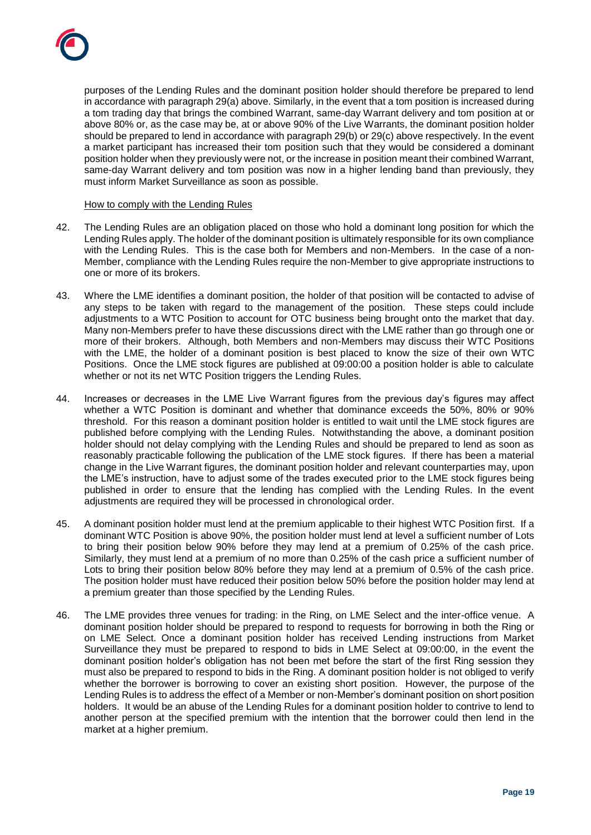purposes of the Lending Rules and the dominant position holder should therefore be prepared to lend in accordance with paragraph 29(a) above. Similarly, in the event that a tom position is increased during a tom trading day that brings the combined Warrant, same-day Warrant delivery and tom position at or above 80% or, as the case may be, at or above 90% of the Live Warrants, the dominant position holder should be prepared to lend in accordance with paragraph 29(b) or 29(c) above respectively. In the event a market participant has increased their tom position such that they would be considered a dominant position holder when they previously were not, or the increase in position meant their combined Warrant, same-day Warrant delivery and tom position was now in a higher lending band than previously, they must inform Market Surveillance as soon as possible.

### How to comply with the Lending Rules

- 42. The Lending Rules are an obligation placed on those who hold a dominant long position for which the Lending Rules apply. The holder of the dominant position is ultimately responsible for its own compliance with the Lending Rules. This is the case both for Members and non-Members. In the case of a non-Member, compliance with the Lending Rules require the non-Member to give appropriate instructions to one or more of its brokers.
- 43. Where the LME identifies a dominant position, the holder of that position will be contacted to advise of any steps to be taken with regard to the management of the position. These steps could include adjustments to a WTC Position to account for OTC business being brought onto the market that day. Many non-Members prefer to have these discussions direct with the LME rather than go through one or more of their brokers. Although, both Members and non-Members may discuss their WTC Positions with the LME, the holder of a dominant position is best placed to know the size of their own WTC Positions. Once the LME stock figures are published at 09:00:00 a position holder is able to calculate whether or not its net WTC Position triggers the Lending Rules.
- 44. Increases or decreases in the LME Live Warrant figures from the previous day's figures may affect whether a WTC Position is dominant and whether that dominance exceeds the 50%, 80% or 90% threshold. For this reason a dominant position holder is entitled to wait until the LME stock figures are published before complying with the Lending Rules. Notwithstanding the above, a dominant position holder should not delay complying with the Lending Rules and should be prepared to lend as soon as reasonably practicable following the publication of the LME stock figures. If there has been a material change in the Live Warrant figures, the dominant position holder and relevant counterparties may, upon the LME's instruction, have to adjust some of the trades executed prior to the LME stock figures being published in order to ensure that the lending has complied with the Lending Rules. In the event adjustments are required they will be processed in chronological order.
- 45. A dominant position holder must lend at the premium applicable to their highest WTC Position first. If a dominant WTC Position is above 90%, the position holder must lend at level a sufficient number of Lots to bring their position below 90% before they may lend at a premium of 0.25% of the cash price. Similarly, they must lend at a premium of no more than 0.25% of the cash price a sufficient number of Lots to bring their position below 80% before they may lend at a premium of 0.5% of the cash price. The position holder must have reduced their position below 50% before the position holder may lend at a premium greater than those specified by the Lending Rules.
- 46. The LME provides three venues for trading: in the Ring, on LME Select and the inter-office venue. A dominant position holder should be prepared to respond to requests for borrowing in both the Ring or on LME Select. Once a dominant position holder has received Lending instructions from Market Surveillance they must be prepared to respond to bids in LME Select at 09:00:00, in the event the dominant position holder's obligation has not been met before the start of the first Ring session they must also be prepared to respond to bids in the Ring. A dominant position holder is not obliged to verify whether the borrower is borrowing to cover an existing short position. However, the purpose of the Lending Rules is to address the effect of a Member or non-Member's dominant position on short position holders. It would be an abuse of the Lending Rules for a dominant position holder to contrive to lend to another person at the specified premium with the intention that the borrower could then lend in the market at a higher premium.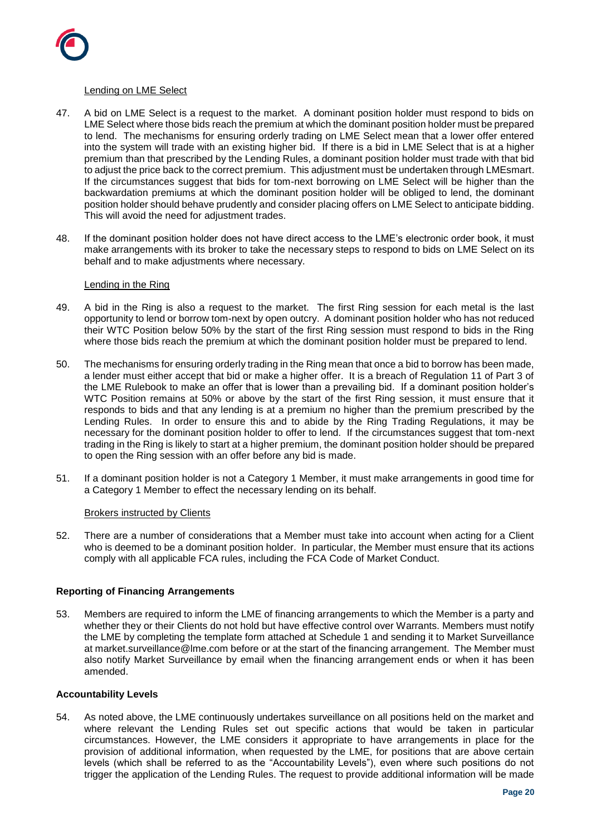

### Lending on LME Select

- 47. A bid on LME Select is a request to the market. A dominant position holder must respond to bids on LME Select where those bids reach the premium at which the dominant position holder must be prepared to lend. The mechanisms for ensuring orderly trading on LME Select mean that a lower offer entered into the system will trade with an existing higher bid. If there is a bid in LME Select that is at a higher premium than that prescribed by the Lending Rules, a dominant position holder must trade with that bid to adjust the price back to the correct premium. This adjustment must be undertaken through LMEsmart. If the circumstances suggest that bids for tom-next borrowing on LME Select will be higher than the backwardation premiums at which the dominant position holder will be obliged to lend, the dominant position holder should behave prudently and consider placing offers on LME Select to anticipate bidding. This will avoid the need for adjustment trades.
- 48. If the dominant position holder does not have direct access to the LME's electronic order book, it must make arrangements with its broker to take the necessary steps to respond to bids on LME Select on its behalf and to make adjustments where necessary.

# Lending in the Ring

- 49. A bid in the Ring is also a request to the market. The first Ring session for each metal is the last opportunity to lend or borrow tom-next by open outcry. A dominant position holder who has not reduced their WTC Position below 50% by the start of the first Ring session must respond to bids in the Ring where those bids reach the premium at which the dominant position holder must be prepared to lend.
- 50. The mechanisms for ensuring orderly trading in the Ring mean that once a bid to borrow has been made, a lender must either accept that bid or make a higher offer. It is a breach of Regulation 11 of Part 3 of the LME Rulebook to make an offer that is lower than a prevailing bid. If a dominant position holder's WTC Position remains at 50% or above by the start of the first Ring session, it must ensure that it responds to bids and that any lending is at a premium no higher than the premium prescribed by the Lending Rules. In order to ensure this and to abide by the Ring Trading Regulations, it may be necessary for the dominant position holder to offer to lend. If the circumstances suggest that tom-next trading in the Ring is likely to start at a higher premium, the dominant position holder should be prepared to open the Ring session with an offer before any bid is made.
- 51. If a dominant position holder is not a Category 1 Member, it must make arrangements in good time for a Category 1 Member to effect the necessary lending on its behalf.

### **Brokers instructed by Clients**

52. There are a number of considerations that a Member must take into account when acting for a Client who is deemed to be a dominant position holder. In particular, the Member must ensure that its actions comply with all applicable FCA rules, including the FCA Code of Market Conduct.

### **Reporting of Financing Arrangements**

53. Members are required to inform the LME of financing arrangements to which the Member is a party and whether they or their Clients do not hold but have effective control over Warrants. Members must notify the LME by completing the template form attached at Schedule 1 and sending it to Market Surveillance at market.surveillance@lme.com before or at the start of the financing arrangement. The Member must also notify Market Surveillance by email when the financing arrangement ends or when it has been amended.

### **Accountability Levels**

54. As noted above, the LME continuously undertakes surveillance on all positions held on the market and where relevant the Lending Rules set out specific actions that would be taken in particular circumstances. However, the LME considers it appropriate to have arrangements in place for the provision of additional information, when requested by the LME, for positions that are above certain levels (which shall be referred to as the "Accountability Levels"), even where such positions do not trigger the application of the Lending Rules. The request to provide additional information will be made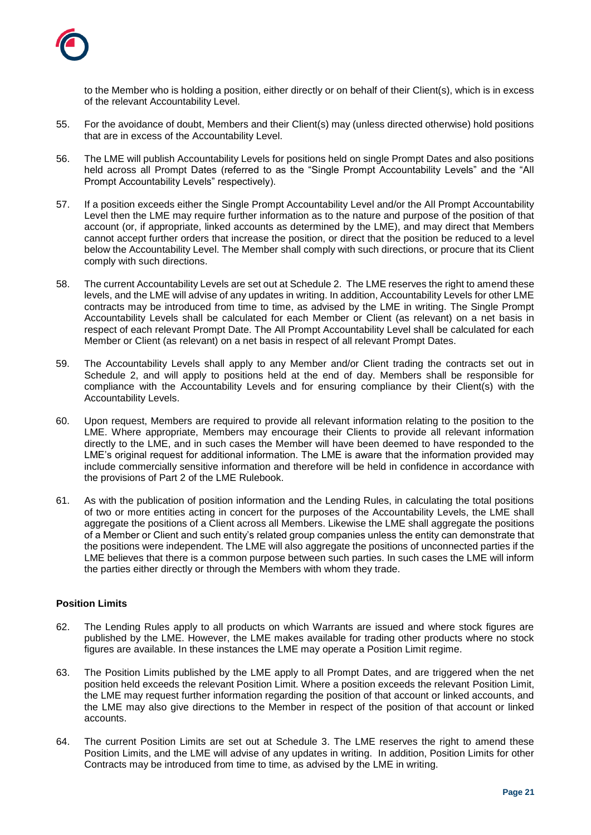

to the Member who is holding a position, either directly or on behalf of their Client(s), which is in excess of the relevant Accountability Level.

- 55. For the avoidance of doubt, Members and their Client(s) may (unless directed otherwise) hold positions that are in excess of the Accountability Level.
- 56. The LME will publish Accountability Levels for positions held on single Prompt Dates and also positions held across all Prompt Dates (referred to as the "Single Prompt Accountability Levels" and the "All Prompt Accountability Levels" respectively).
- 57. If a position exceeds either the Single Prompt Accountability Level and/or the All Prompt Accountability Level then the LME may require further information as to the nature and purpose of the position of that account (or, if appropriate, linked accounts as determined by the LME), and may direct that Members cannot accept further orders that increase the position, or direct that the position be reduced to a level below the Accountability Level. The Member shall comply with such directions, or procure that its Client comply with such directions.
- 58. The current Accountability Levels are set out at Schedule 2. The LME reserves the right to amend these levels, and the LME will advise of any updates in writing. In addition, Accountability Levels for other LME contracts may be introduced from time to time, as advised by the LME in writing. The Single Prompt Accountability Levels shall be calculated for each Member or Client (as relevant) on a net basis in respect of each relevant Prompt Date. The All Prompt Accountability Level shall be calculated for each Member or Client (as relevant) on a net basis in respect of all relevant Prompt Dates.
- 59. The Accountability Levels shall apply to any Member and/or Client trading the contracts set out in Schedule 2, and will apply to positions held at the end of day. Members shall be responsible for compliance with the Accountability Levels and for ensuring compliance by their Client(s) with the Accountability Levels.
- 60. Upon request, Members are required to provide all relevant information relating to the position to the LME. Where appropriate, Members may encourage their Clients to provide all relevant information directly to the LME, and in such cases the Member will have been deemed to have responded to the LME's original request for additional information. The LME is aware that the information provided may include commercially sensitive information and therefore will be held in confidence in accordance with the provisions of Part 2 of the LME Rulebook.
- 61. As with the publication of position information and the Lending Rules, in calculating the total positions of two or more entities acting in concert for the purposes of the Accountability Levels, the LME shall aggregate the positions of a Client across all Members. Likewise the LME shall aggregate the positions of a Member or Client and such entity's related group companies unless the entity can demonstrate that the positions were independent. The LME will also aggregate the positions of unconnected parties if the LME believes that there is a common purpose between such parties. In such cases the LME will inform the parties either directly or through the Members with whom they trade.

# **Position Limits**

- 62. The Lending Rules apply to all products on which Warrants are issued and where stock figures are published by the LME. However, the LME makes available for trading other products where no stock figures are available. In these instances the LME may operate a Position Limit regime.
- 63. The Position Limits published by the LME apply to all Prompt Dates, and are triggered when the net position held exceeds the relevant Position Limit. Where a position exceeds the relevant Position Limit, the LME may request further information regarding the position of that account or linked accounts, and the LME may also give directions to the Member in respect of the position of that account or linked accounts.
- 64. The current Position Limits are set out at Schedule 3. The LME reserves the right to amend these Position Limits, and the LME will advise of any updates in writing. In addition, Position Limits for other Contracts may be introduced from time to time, as advised by the LME in writing.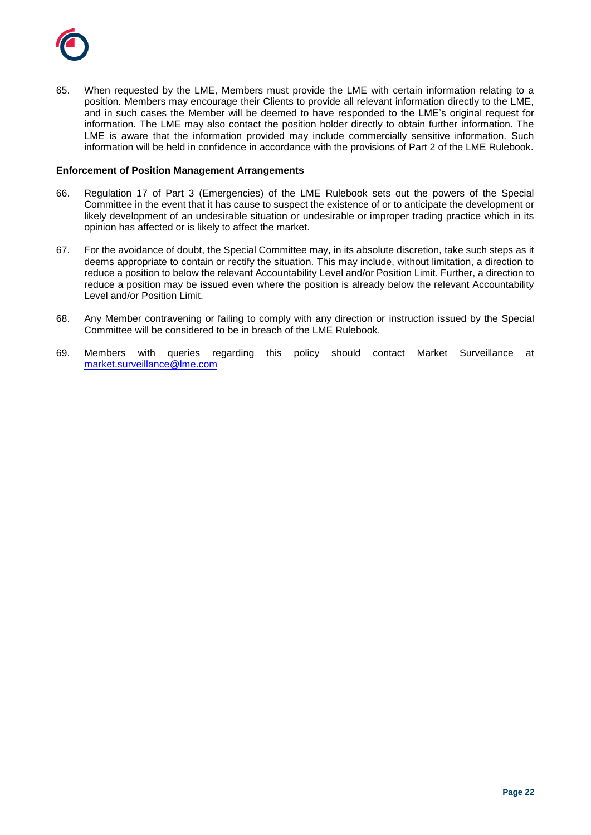

65. When requested by the LME, Members must provide the LME with certain information relating to a position. Members may encourage their Clients to provide all relevant information directly to the LME, and in such cases the Member will be deemed to have responded to the LME's original request for information. The LME may also contact the position holder directly to obtain further information. The LME is aware that the information provided may include commercially sensitive information. Such information will be held in confidence in accordance with the provisions of Part 2 of the LME Rulebook.

### **Enforcement of Position Management Arrangements**

- 66. Regulation 17 of Part 3 (Emergencies) of the LME Rulebook sets out the powers of the Special Committee in the event that it has cause to suspect the existence of or to anticipate the development or likely development of an undesirable situation or undesirable or improper trading practice which in its opinion has affected or is likely to affect the market.
- 67. For the avoidance of doubt, the Special Committee may, in its absolute discretion, take such steps as it deems appropriate to contain or rectify the situation. This may include, without limitation, a direction to reduce a position to below the relevant Accountability Level and/or Position Limit. Further, a direction to reduce a position may be issued even where the position is already below the relevant Accountability Level and/or Position Limit.
- 68. Any Member contravening or failing to comply with any direction or instruction issued by the Special Committee will be considered to be in breach of the LME Rulebook.
- 69. Members with queries regarding this policy should contact Market Surveillance at [market.surveillance@lme.com](mailto:market.surveillance@lme.com)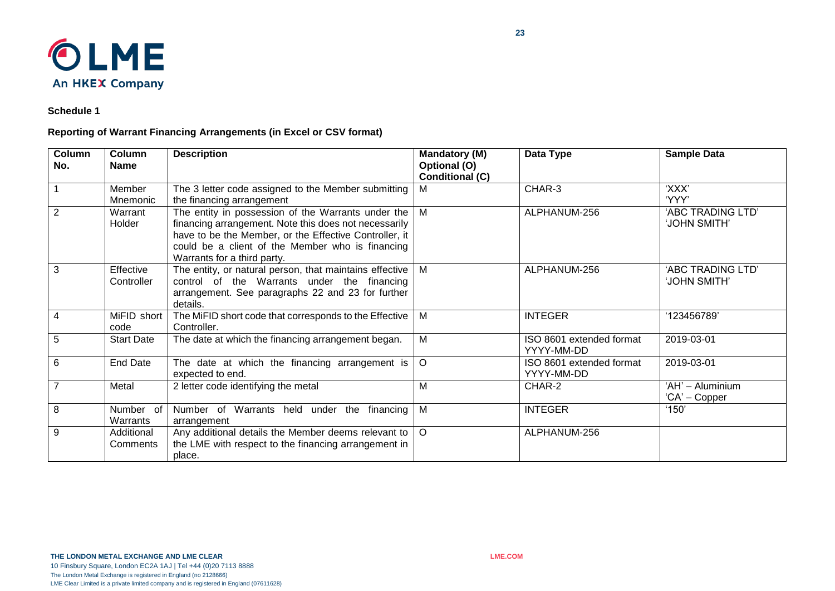

**Schedule 1**

# **Reporting of Warrant Financing Arrangements (in Excel or CSV format)**

| Column<br>No.  | Column<br><b>Name</b>    | <b>Description</b>                                                                                                                                                                                                                                       | <b>Mandatory (M)</b><br>Optional (O)<br><b>Conditional (C)</b> | Data Type                              | <b>Sample Data</b>                |
|----------------|--------------------------|----------------------------------------------------------------------------------------------------------------------------------------------------------------------------------------------------------------------------------------------------------|----------------------------------------------------------------|----------------------------------------|-----------------------------------|
|                | Member<br>Mnemonic       | The 3 letter code assigned to the Member submitting<br>the financing arrangement                                                                                                                                                                         | м                                                              | CHAR-3                                 | 'XXX'<br>'YYY'                    |
| 2              | Warrant<br>Holder        | The entity in possession of the Warrants under the<br>financing arrangement. Note this does not necessarily<br>have to be the Member, or the Effective Controller, it<br>could be a client of the Member who is financing<br>Warrants for a third party. | М                                                              | ALPHANUM-256                           | 'ABC TRADING LTD'<br>'JOHN SMITH' |
| 3              | Effective<br>Controller  | The entity, or natural person, that maintains effective<br>control of the Warrants under the financing<br>arrangement. See paragraphs 22 and 23 for further<br>details.                                                                                  | Μ                                                              | ALPHANUM-256                           | 'ABC TRADING LTD'<br>'JOHN SMITH' |
| $\overline{4}$ | MiFID short<br>code      | The MiFID short code that corresponds to the Effective<br>Controller.                                                                                                                                                                                    | Μ                                                              | <b>INTEGER</b>                         | '123456789'                       |
| 5              | <b>Start Date</b>        | The date at which the financing arrangement began.                                                                                                                                                                                                       | Μ                                                              | ISO 8601 extended format<br>YYYY-MM-DD | 2019-03-01                        |
| 6              | <b>End Date</b>          | The date at which the financing arrangement is<br>expected to end.                                                                                                                                                                                       | $\circ$                                                        | ISO 8601 extended format<br>YYYY-MM-DD | 2019-03-01                        |
| $\overline{7}$ | Metal                    | 2 letter code identifying the metal                                                                                                                                                                                                                      | М                                                              | CHAR-2                                 | 'AH' - Aluminium<br>'CA' – Copper |
| 8              | Number<br>of<br>Warrants | Number of Warrants held under the financing<br>arrangement                                                                                                                                                                                               | M                                                              | <b>INTEGER</b>                         | '150'                             |
| 9              | Additional<br>Comments   | Any additional details the Member deems relevant to<br>the LME with respect to the financing arrangement in<br>place.                                                                                                                                    | $\circ$                                                        | ALPHANUM-256                           |                                   |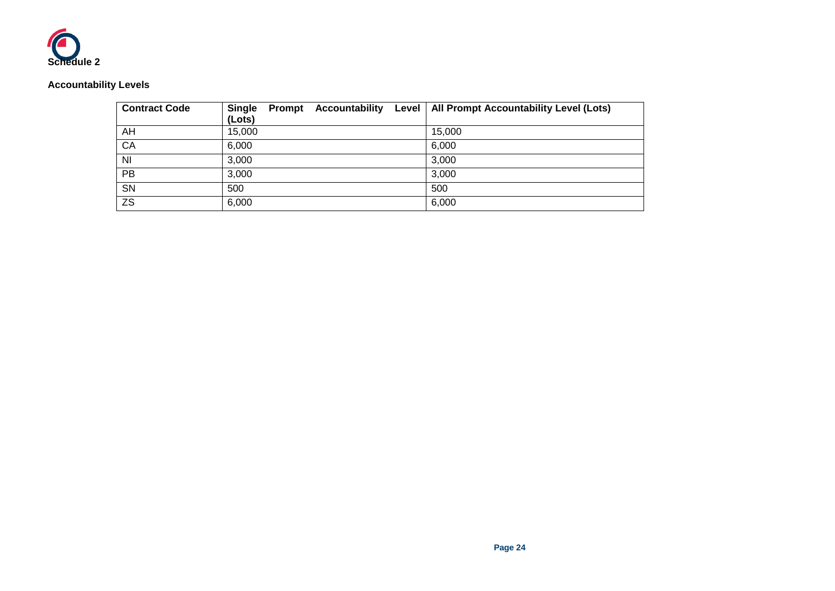

# **Accountability Levels**

| <b>Contract Code</b> | <b>Accountability</b><br><b>Single</b><br>Prompt<br>(Lots) | Level   All Prompt Accountability Level (Lots) |
|----------------------|------------------------------------------------------------|------------------------------------------------|
| AH                   | 15,000                                                     | 15,000                                         |
| CA                   | 6.000                                                      | 6,000                                          |
| N <sub>l</sub>       | 3,000                                                      | 3,000                                          |
| PB                   | 3,000                                                      | 3,000                                          |
| <b>SN</b>            | 500                                                        | 500                                            |
| <b>ZS</b>            | 6,000                                                      | 6,000                                          |